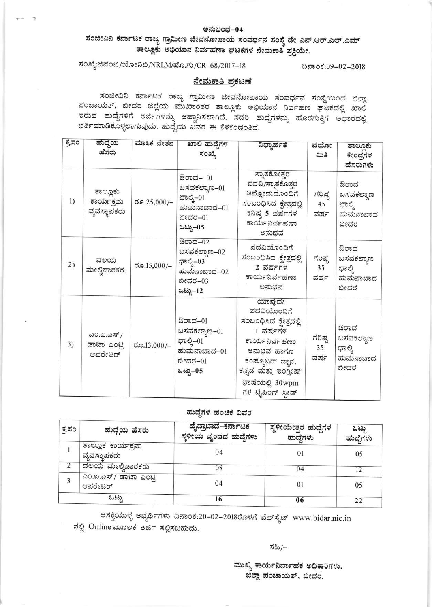### ಅನುಬಂಧ–04

ಸಂಜೀವಿನಿ ಕರ್ನಾಟಕ ರಾಜ್ಯ ಗ್ರಾಮೀಣ ಜೀವನೋಪಾಯ ಸಂವರ್ಧನ ಸಂಸ್ಥೆ ಡೇ ಎನ್.ಆರ್.ಎಲ್.ಎಮ್ ತಾಲ್ಲೂಕು ಅಭಿಯಾನ ನಿರ್ವಹಣಾ ಘಟಕಗಳ ನೇಮಕಾತಿ ಪ್ರಕ್ರಿಯೇ.

# ಸಂಖ್ಯೆ:ಜಿಪಂಬಿ/ಯೋನಿಬಿ/NRLM/ಹೊ.ಗು/CR-68/2017-18

ದಿನಾಂಕ:09-02-2018

### <u>ನೇಮಕಾತಿ ಪ್ರಕಟಣೆ</u>

ಸಂಜೀವಿನಿ ಕರ್ನಾಟಕ ರಾಜ್ಯ ಗ್ರಾಮೀಣ ಜೀವನೋಪಾಯ ಸಂವರ್ಧನ ಸಂಸ್ಥೆಯಿಂದ ಜಿಲ್ಲಾ ಪಂಚಾಯತ್, ಬೀದರ ಜಿಲ್ಲೆಯ ಮುಖಾಂತರ ತಾಲ್ಲೂಕು ಅಭಿಯಾನ ನಿರ್ವಹಣ ಘಟಕದಲ್ಲಿ ಖಾಲಿ ಇರುವ ಹುದ್ದೆಗಳಿಗೆ ಅರ್ಜಿಗಳನ್ನು ಆಹ್ವಾನಿಸಲಾಗಿದೆ. ಸದರಿ ಹುದ್ದೆಗಳನ್ನು ಹೊರಗುತ್ತಿಗೆ ಆಧಾರದಲ್ಲಿ ಭರ್ತಿಮಾಡಿಕೊಳ್ಳಲಾಗುವುದು. ಹುದ್ದೆಯ ವಿವರ ಈ ಕೆಳಕಂಡಂತಿವೆ.

| ಕ್ರಸಂ | ಹುದ್ದೆಯ<br>ಹೆಸರು                      | ಮಾಸಿಕ ವೇತನ  | ಖಾಲಿ ಹುದೆಗಳ<br>ಸಂಖ್ಯೆ                                                       | ವಿಧ್ಯಾರ್ಹತೆ                                                                                                                                                                      | ವಯೋ<br>ಮಿತಿ          | ತಾಲ್ಲೂಕು<br>ಕೇಂದ್ರಗಳ<br>ಹೆಸರುಗಳು                |
|-------|---------------------------------------|-------------|-----------------------------------------------------------------------------|----------------------------------------------------------------------------------------------------------------------------------------------------------------------------------|----------------------|-------------------------------------------------|
| 1)    | ತಾಲ್ಲೂಕು<br>ಕಾರ್ಯಕ್ರಮ<br>ವ್ಯವಸ್ಥಾಪಕರು | ರೂ.25,000/– | ಔರಾದ– 01<br>ಬಸವಕಲ್ಯಾಣ–01<br>ಭಾಲ್ತಿ–01<br>ಹುಮನಾಬಾದ-01<br>ಬೀದರ–01<br>ಒಟ್ಟು-05 | ಸ್ಪಾತಕೋತ್ತರ<br>ಪದವಿ/ಸ್ನಾತಕೊತ್ತರ<br>ಡಿಪ್ಲೋಮದೊಂದಿಗೆ<br>ಸಂಬಂಧಿಸಿದ ಕ್ಷೇತ್ರದಲ್ಲಿ<br>ಕನಿಷ್ಠ 5 ವರ್ಷಗಳ<br>ಕಾರ್ಯನಿರ್ವಹಣಾ<br>ಅನುಭವ                                                         | ಗರಿಷ್ಠ<br>45<br>ವರ್ಷ | ಔರಾದ<br>ಬಸವಕಲ್ಯಾಣ<br>ಭಾಲ್ತಿ<br>ಹುಮನಾಬಾದ<br>ಬೀದರ |
| 2)    | ವಲಯ<br>ಮೇಲ್ವಿಚಾರಕರು                   | ರೂ.15,000/– | ಔರಾದ–02<br>ಬಸವಕಲ್ಯಾಣ–02<br>ಭಾಲ್ತಿ–03<br>ಹುಮನಾಬಾದ–02<br>ಬೀದರ–03<br>ಒಟ್ಟು–12  | ಪದವಿಯೊಂದಿಗೆ<br>ಸಂಬಂಧಿಸಿದ ಕ್ಷೇತ್ರದಲ್ಲಿ<br>2 ವರ್ಷಗಳ<br>ಕಾರ್ಯನಿರ್ವಹಣಾ<br>ಅನುಭವ                                                                                                      | ಗರಿಷ್ಠ<br>35<br>ವರ್ಷ | ಔರಾದ<br>ಬಸವಕಲ್ಯಾಣ<br>ಭಾಲ್ತಿ<br>ಹುಮನಾಬಾದ<br>ಬೀದರ |
| 3)    | ಎಂ.ಐ.ಎಸ್/<br>ಡಾಟಾ ಎಂಟ್ರಿ<br>ಆಪರೇಟರ್   | ರೂ.13,000/- | ಔರಾದ–01<br>ಬಸವಕಲ್ಯಾಣ–01<br>ಭಾಲ್ತಿ–01<br>ಹುಮನಾಬಾದ–01<br>ಬೀದರ-01<br>ಒಟ್ಟು-05  | ಯಾವುದೇ<br>ಪದವಿಯೊಂದಿಗೆ<br>ಸಂಬಂಧಿಸಿದ ಕ್ಷೇತ್ರದಲ್ಲಿ<br>$1$ ವರ್ಷಗಳ<br>ಕಾರ್ಯನಿರ್ವಹಣಾ<br>ಅನುಭವ ಹಾಗೂ<br>ಕಂಪ್ಯೊಟರ್ ಜ್ಞಾನ,<br>ಕನ್ನಡ ಮತ್ತು ಇಂಗ್ಲೀಷ್<br>ಭಾಷೆಯಲ್ಲಿ 30wpm<br>ಗಳ ಟೈಪಿಂಗ್ ಸ್ಪೀಡ್ | ಗರಿಷ್ಟ<br>35<br>ವರ್ಷ | ಔರಾದ<br>ಬಸವಕಲ್ಯಾಣ<br>ಭಾಲ್ಕಿ<br>ಹುಮನಾಬಾದ<br>ಬೀದರ |

## ಹುದ್ದೆಗಳ ಹಂಚಿಕೆ ವಿವರ

| ಕ್ಕಸಂ | ಹುದ್ದೆಯ ಹೆಸರು                     | ಹೈದ್ರಾಬಾದ–ಕರ್ನಾಟಕ<br>ಸ್ಥಳೀಯ ವೃಂದದ ಹುದ್ದೆಗಳು | ಸ್ಥಳೀಯೇತ್ತರ ಹುದ್ದೆಗಳ<br>ಹುದೆಗಳು | ಒಟ್ಟು<br>ಹುದ್ದೆಗಳು |  |
|-------|-----------------------------------|---------------------------------------------|---------------------------------|--------------------|--|
|       | ತಾಲ್ಲೂಕ ಕಾರ್ಯಕ್ರಮ<br>ವ್ಯವಸ್ಥಾಪಕರು | 04                                          | 01                              | 05                 |  |
|       | ವಲಯ ಮೇಲ್ವಿಚಾರಕರು                  | 08                                          | 04                              | 12                 |  |
|       | ಎಂ.ಐ.ಎಸ್/ ಡಾಟಾ ಎಂಟ್ಸಿ<br>ಆಪರೇಟರ್  | 04                                          | 01                              | 05                 |  |
|       | ಒಟು                               | 16                                          | 06                              | 22                 |  |

ಆಸಕ್ತಿಯುಳ್ಳ ಅಭ್ಯರ್ಥಿಗಳು ದಿನಾಂಕ:20–02–2018ರೊಳಗೆ ವೆಬ್ಸೈಟ್ www.bidar.nic.in ನಲ್ಲಿ Online ಮೂಲಕ ಅರ್ಜಿ ಸಲ್ಲಿಸಬಹುದು.

ಸಹಿ/–

ಮುಖ್ಯ ಕಾರ್ಯನಿರ್ವಾಹಕ ಅಧಿಕಾರಿಗಳು, ಜಿಲ್ಲಾ ಪಂಚಾಯತ್, ಬೀದರ.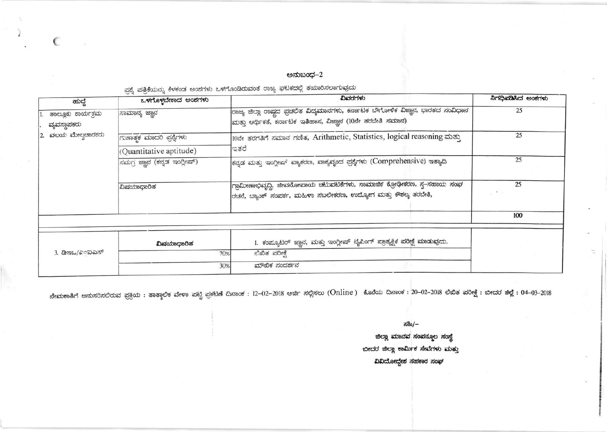ಅನುಬಂಧ–2

ಪ್ಪಶ್ನೆ ಪತ್ರಿಕೆಯನ್ನು ಕೆಳಕಂಡ ಅಂಶಗಳು ಒಳಗೊಂಡಿರುವಂತೆ ರಾಜ್ಯ ಘಟಕದಲ್ಲಿ ತಯಾರಿಸಲಾಗುವುದು

€

| ಒಳಗೊಳ್ಳಬೇಕಾದ ಅಂಶಗಳು          | ವಿವರಗಳು                                                                                                                                       | ನಿಗಧಿಪಡಿಸಿದ ಅಂಕಗಳು      |  |
|------------------------------|-----------------------------------------------------------------------------------------------------------------------------------------------|-------------------------|--|
| ಸಾಮಾನ್ಯ ಜ್ಞಾನ                | ರಾಜ್ಯ ಜಿಲ್ಲಾ ರಾಷ್ಟದ ಪ್ರಚಲಿತ ವಿದ್ಯಮಾನಗಳು, ಕರ್ನಾಟಕ ಬೌಗೋಳಿಕ ವಿಜ್ಞಾನ, ಭಾರತದ ಸಂವಿಧಾನ<br>ಮತ್ತು ಆರ್ಥಿಕತೆ, ಕರ್ನಾಟಕ ಇತಿಹಾಸ, ವಿಜ್ಞಾನ (10ನೇ ತರಬೇತಿ ಸಮಾನ) | 25                      |  |
| ಗುಣಾತ್ಮಕ ಮಾದರಿ ಪ್ರಶ್ನೆಗಳು    | 10ನೇ ತರಗತಿಗೆ ಸಮಾನ ಗಣಿತ, Arithmetic, Statistics, logical reasoning ಮತ್ತು<br>ಇತರೆ                                                               | 25                      |  |
| ಸಮಗ್ರ ಜ್ಞಾನ (ಕನ್ನಡ ಇಂಗ್ಲೀಷ್) | ಕನ್ನಡ ಮತ್ತು ಇಂಗ್ಲೀಷ್ ವ್ಯಾಕರಣ, ವಾಕ್ಯವೃಂದ ಪ್ರಶ್ನೆಗಳು (Comprehensive) ಇತ್ಯಾದಿ                                                                    | 25                      |  |
| ವಿಷಯಾಧಾರಿತ                   | ಗ್ರಾಮೀಣಾಭಿವೃದ್ಧಿ, ಜೀವನೋಪಾಯ ಚಟುವಟಿಕೆಗಳು, ಸಾಮಾಜಿಕ ಕ್ರೋಢೀಕರಣ, ಸ್ವ–ಸಹಾಯ ಸಂಘ<br>ರಚನೆ, ಬ್ಯಾಂಕ್ ಸಂಪರ್ಕ, ಮಹಿಳಾ ಸಬಲೀಕರಣ, ಉದ್ಯೋಗ ಮತ್ತು ಕೌಶಲ್ಯ ತರಬೇತಿ,   | 25<br>$\omega$ . We set |  |
|                              |                                                                                                                                               | 100                     |  |
| ವಿಷಯಾಧಾರಿತ                   | 1. ಕಂಪ್ಯೂಟರ್ ಜ್ಞಾನ, ಮತ್ತು ಇಂಗ್ಲೀಷ್ ಟೈಪಿಂಗ್ ಪ್ರಾತ್ಯಕ್ಷಿಕ ಪರೀಕ್ಷೆ ಮಾಡುವುದು.                                                                     |                         |  |
| 70%                          | ಲಿಖಿತ ಪರೀಕ್ಷೆ                                                                                                                                 |                         |  |
| 30%                          | ಮೌಖಿಕ ಸಂದರ್ಶನ                                                                                                                                 |                         |  |
|                              | (Quantitative aptitude)                                                                                                                       |                         |  |

ನೇಮಕಾತಿಗೆ ಅನುಸರಿಸಲಿರುವ ಪ್ರಕ್ರಿಯ : ತಾತ್ಕಾಲಿಕ ವೇಳಾ ಪಟ್ಟಿ ಪ್ರಕಟಣೆ ದಿನಾಂಕ : 12–02–2018 ಅರ್ಜಿ ಸಲ್ಲಿಸಲು (Online ) ಕೊನೆಯ ದಿನಾಂಕ : 20–02–2018 ಲಿಖಿತ ಪರೀಕ್ಷೆ : ಬೀದರ ಜಿಲ್ಲೆ : 04–03–2018

ಸಹಿ/–

ಜಿಲ್ಲಾ ಮಾನವ ಸಂಪನ್ಮೂಲ ಸಂಸ್ಥೆ ಬೀದರ ಜಿಲ್ಲಾ ಕಾರ್ಮಿಕ ಸೇವೆಗಳು ಮತ್ತು ವಿವಿದೋದ್ದೇಶ ಸಹಕಾರ ಸಂಘ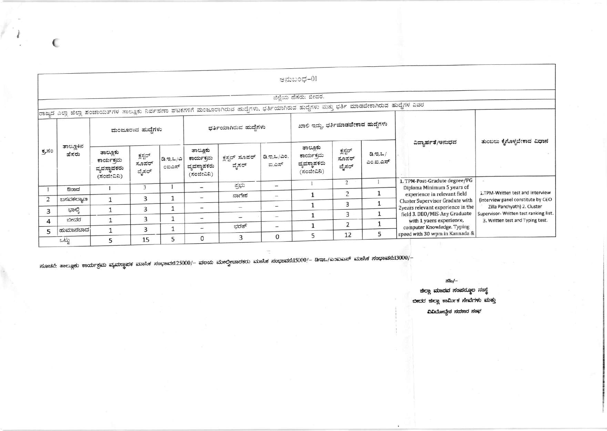|                |                    |                                                     |                            |                  |                                                   |                                                                                                                                               |                                     | ಅನುಬಂಧ–01                                           |                            |                    |                                                                                                                                                                                                                                          |                                                                                                                                                                                    |
|----------------|--------------------|-----------------------------------------------------|----------------------------|------------------|---------------------------------------------------|-----------------------------------------------------------------------------------------------------------------------------------------------|-------------------------------------|-----------------------------------------------------|----------------------------|--------------------|------------------------------------------------------------------------------------------------------------------------------------------------------------------------------------------------------------------------------------------|------------------------------------------------------------------------------------------------------------------------------------------------------------------------------------|
|                |                    |                                                     |                            |                  |                                                   |                                                                                                                                               |                                     | ಜಿಲ್ಲೆಯ ಹೆಸರು: ಬೀದರ.                                |                            |                    |                                                                                                                                                                                                                                          |                                                                                                                                                                                    |
|                |                    |                                                     |                            |                  |                                                   | ರಾಜ್ಯದ ಎಲ್ಲಾ ಜಿಲ್ಲಾ ಪಂಚಾಯತ್ $\pi$ ಳ ತಾಲ್ಲೂಕು ನಿರ್ವಹಣಾ ಘಟಕಗಳಿಗೆ ಮಂಜೂರಾಗಿರುವ ಹುದೈಗಳು, ಭರ್ತಿಯಾಗಿರುವ ಹುದೈಗಳು ಮತ್ತು ಭರ್ತಿ ಮಾಡಬೇಕಾಗಿರುವ ಹುದೈಗಳ ವಿವರ |                                     |                                                     |                            |                    |                                                                                                                                                                                                                                          |                                                                                                                                                                                    |
|                |                    |                                                     |                            |                  |                                                   |                                                                                                                                               |                                     |                                                     |                            |                    |                                                                                                                                                                                                                                          |                                                                                                                                                                                    |
| ಕ್ರಸಂ          | ತಾಲ್ಲೂಕಿನ<br>ಹೆಸರು | ಮಂಜೂರಾದ ಹುದ್ದೆಗಳು                                   |                            |                  | ಭರ್ತಿಯಾಗಿರುವ ಹುದೈಗಳು                              |                                                                                                                                               | ಖಾಲಿ ಇದ್ದು, ಭರ್ತಿಮಾಡಬೇಕಾದ ಹುದ್ದೆಗಳು |                                                     |                            |                    |                                                                                                                                                                                                                                          |                                                                                                                                                                                    |
|                |                    | ತಾಲ್ಲೂಕು<br>ಕಾರ್ಯಕ್ರಮ<br>ವ್ಯವಸ್ಥಾಪಕರು<br>(ಸಂಜೀವಿನಿ) | ಕ್ಷಸ್ಟರ್<br>ಸೂಪರ್<br>ವೈಸರ್ | 2.9.2/2<br>೦ಐಎಸ್ | ತಾಲೂಕು<br>ಕಾರ್ಯಕ್ರಮ<br>ವ್ಯವಸ್ಥಾಪಕರು<br>(ಸಂಜೀವಿನಿ) | ಕ್ಷಸ್ಟರ್ ಸೂಪರ್<br>ವೈಸರ್                                                                                                                       | ಡಿ.ಇ.ಒ/ಎಂ.<br>ಐ.ಎಸ್                 | ತಾಲ್ಲೂಕು<br>ಕಾರ್ಯಕ್ರಮ<br>ವ್ಯವಸ್ಥಾಪಕರು<br>(ಸಂಜೀವಿನಿ) | ಕ್ಷಸ್ಟರ್<br>ಸೂಪರ್<br>ವೈಸರ್ | a.a.2/<br>ಎಂ.ಐ.ಎಸ್ | ವಿದ್ಯಾರ್ಹತೆ/ಅನುಭವ                                                                                                                                                                                                                        | ತುಂಬಲು ಕೈಗೊಳ್ಳಬೇಕಾದ ವಿಧಾನ                                                                                                                                                          |
|                |                    |                                                     | 3                          |                  | $\overline{\phantom{a}}$                          | ಪ್ರಭು                                                                                                                                         | $\overline{\phantom{a}}$            |                                                     | $\overline{2}$             |                    | 1. TPM-Post-Gradute degree/PG<br>Diploma Minimum 5 years of                                                                                                                                                                              |                                                                                                                                                                                    |
|                | ಔರಾದ               |                                                     |                            |                  | u.                                                | ನಾಗೇಶ                                                                                                                                         | $\sim$                              | 1                                                   | $\overline{2}$             |                    | experience in relevant field<br><b>Cluster Supervisor Gradute with</b><br>2years relevant experience in the<br>field 3. DEO/MIS-Any Graduate<br>with 1 yaers experience,<br>computer Knowledge. Typing<br>speed with 30 wpm in Kannada & | i.TPM-Written test and Interview<br>(interview panel constitute by CEO<br>Zilla Panchyath) 2. Cluster<br>Supervisor- Written test ranking list<br>3. Written test and Typing test. |
| 2              | ಬಸವಕಲ್ಯಾಣ          |                                                     | 3                          |                  |                                                   |                                                                                                                                               | $\overline{\phantom{a}}$            | $\mathbf{1}$                                        | 3                          |                    |                                                                                                                                                                                                                                          |                                                                                                                                                                                    |
| 3              | ಭಾಲ್ಕಿ             |                                                     | 3                          |                  | $\overline{\phantom{a}}$                          | $\sim$                                                                                                                                        |                                     |                                                     | 3                          | $\mathbf{1}$       |                                                                                                                                                                                                                                          |                                                                                                                                                                                    |
| $\overline{a}$ | ಬೀದರ               |                                                     | 3                          |                  | $\overline{\phantom{a}}$                          |                                                                                                                                               | $\overline{\phantom{0}}$            |                                                     |                            | 1                  |                                                                                                                                                                                                                                          |                                                                                                                                                                                    |
| 5              | ಹುಮಾನಬಾದ           | $\mathbf{1}$                                        | 3                          |                  | $\overline{\phantom{a}}$                          | ಭರತ್                                                                                                                                          | $\sim$                              |                                                     | $\overline{2}$             |                    |                                                                                                                                                                                                                                          |                                                                                                                                                                                    |
|                | adi                | 5                                                   | 15                         | 5                | $\mathbf 0$                                       | 3                                                                                                                                             | 0                                   | 5                                                   | 12                         | 5                  |                                                                                                                                                                                                                                          |                                                                                                                                                                                    |

ಸೂಚನೆ: ತಾಲ್ಲೂಕು ಕಾರ್ಯಕ್ರಮ ವ್ಯವಸ್ಥಾಪಕ ಮಾಸಿಕ ಸಂಭಾವನ:25000/– ವಲಯ ಮೇಲ್ವೀಚಾರಕರು ಮಾಸಿಕ ಸಂಭಾವನೆ:15000/– ಡಿಇಒ/ಎಂಐಎಸ್ ಮಾಸಿಕ ಸಂಭಾವನೆ:13000/–

ಸಹಿ/–

ಜಿಲ್ಲಾ ಮಾನವ ಸಂಪನ್ಮೂಲ ಸಂಸ್ಥೆ ಬೀದರ ಜಿಲ್ಲಾ ಕಾರ್ಮಿಕ ಸೇವೆಗಳು ಮತ್ತು ವಿವಿದೋದ್ದೇಶ ಸಹಕಾರ ಸಂಘ